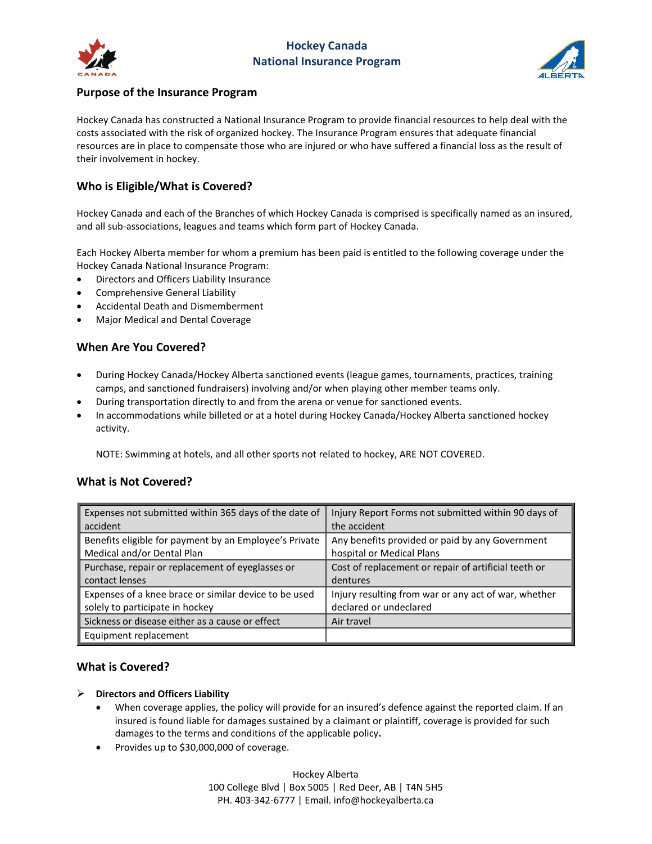



## **Purpose of the Insurance Program**

Hockey Canada has constructed a National Insurance Program to provide financial resources to help deal with the costs associated with the risk of organized hockey. The Insurance Program ensures that adequate financial resources are in place to compensate those who are injured or who have suffered a financial loss as the result of their involvement in hockey.

# **Who is Eligible/What is Covered?**

Hockey Canada and each of the Branches of which Hockey Canada is comprised is specifically named as an insured, and all sub-associations, leagues and teams which form part of Hockey Canada.

Each Hockey Alberta member for whom a premium has been paid is entitled to the following coverage under the Hockey Canada National Insurance Program:

- Directors and Officers Liability Insurance
- Comprehensive General Liability
- Accidental Death and Dismemberment
- Major Medical and Dental Coverage

## **When Are You Covered?**

- During Hockey Canada/Hockey Alberta sanctioned events (league games, tournaments, practices, training camps, and sanctioned fundraisers) involving and/or when playing other member teams only.
- During transportation directly to and from the arena or venue for sanctioned events.
- In accommodations while billeted or at a hotel during Hockey Canada/Hockey Alberta sanctioned hockey activity.

NOTE: Swimming at hotels, and all other sports not related to hockey, ARE NOT COVERED.

## **What is Not Covered?**

| Expenses not submitted within 365 days of the date of  | Injury Report Forms not submitted within 90 days of  |
|--------------------------------------------------------|------------------------------------------------------|
| accident                                               | the accident                                         |
| Benefits eligible for payment by an Employee's Private | Any benefits provided or paid by any Government      |
| Medical and/or Dental Plan                             | hospital or Medical Plans                            |
| Purchase, repair or replacement of eyeglasses or       | Cost of replacement or repair of artificial teeth or |
| contact lenses                                         | dentures                                             |
| Expenses of a knee brace or similar device to be used  | Injury resulting from war or any act of war, whether |
| solely to participate in hockey                        | declared or undeclared                               |
| Sickness or disease either as a cause or effect        | Air travel                                           |
| Equipment replacement                                  |                                                      |

## **What is Covered?**

#### ➢ **Directors and Officers Liability**

- When coverage applies, the policy will provide for an insured's defence against the reported claim. If an insured is found liable for damages sustained by a claimant or plaintiff, coverage is provided for such damages to the terms and conditions of the applicable policy**.**
- Provides up to \$30,000,000 of coverage.

Hockey Alberta 100 College Blvd | Box 5005 | Red Deer, AB | T4N 5H5 PH. 403-342-6777 | Email. info@hockeyalberta.ca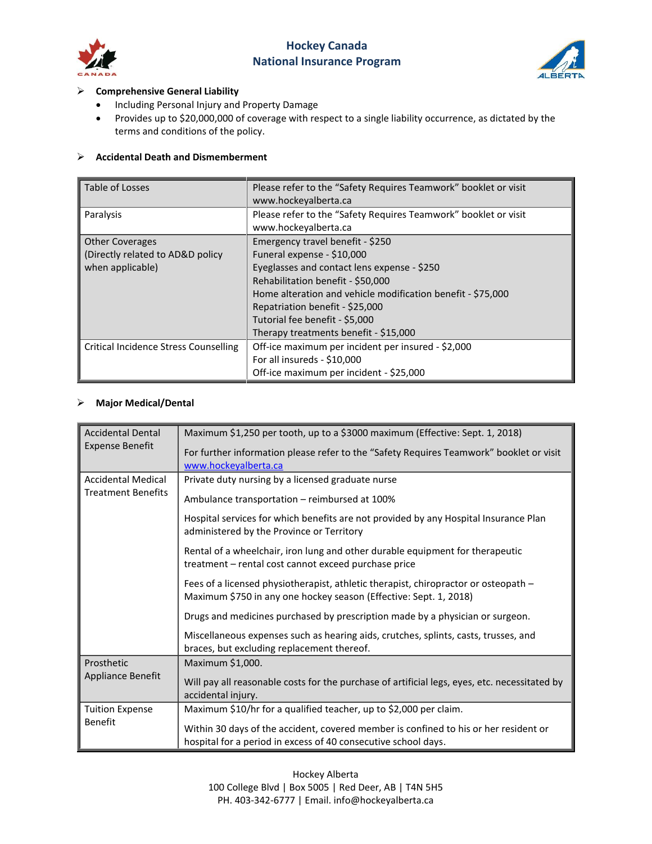

# **Hockey Canada National Insurance Program**



### ➢ **Comprehensive General Liability**

- Including Personal Injury and Property Damage
- Provides up to \$20,000,000 of coverage with respect to a single liability occurrence, as dictated by the terms and conditions of the policy.

## ➢ **Accidental Death and Dismemberment**

| Table of Losses                              | Please refer to the "Safety Requires Teamwork" booklet or visit<br>www.hockeyalberta.ca |
|----------------------------------------------|-----------------------------------------------------------------------------------------|
| Paralysis                                    | Please refer to the "Safety Requires Teamwork" booklet or visit<br>www.hockeyalberta.ca |
| <b>Other Coverages</b>                       | Emergency travel benefit - \$250                                                        |
| (Directly related to AD&D policy             | Funeral expense - \$10,000                                                              |
| when applicable)                             | Eyeglasses and contact lens expense - \$250                                             |
|                                              | Rehabilitation benefit - \$50,000                                                       |
|                                              | Home alteration and vehicle modification benefit - \$75,000                             |
|                                              | Repatriation benefit - \$25,000                                                         |
|                                              | Tutorial fee benefit - \$5,000                                                          |
|                                              | Therapy treatments benefit - \$15,000                                                   |
| <b>Critical Incidence Stress Counselling</b> | Off-ice maximum per incident per insured - \$2,000                                      |
|                                              | For all insureds - \$10,000                                                             |
|                                              | Off-ice maximum per incident - \$25,000                                                 |

## ➢ **Major Medical/Dental**

| <b>Accidental Dental</b><br><b>Expense Benefit</b>     | Maximum \$1,250 per tooth, up to a \$3000 maximum (Effective: Sept. 1, 2018)                                                                             |
|--------------------------------------------------------|----------------------------------------------------------------------------------------------------------------------------------------------------------|
|                                                        | For further information please refer to the "Safety Requires Teamwork" booklet or visit<br>www.hockeyalberta.ca                                          |
| <b>Accidental Medical</b><br><b>Treatment Benefits</b> | Private duty nursing by a licensed graduate nurse                                                                                                        |
|                                                        | Ambulance transportation – reimbursed at 100%                                                                                                            |
|                                                        | Hospital services for which benefits are not provided by any Hospital Insurance Plan<br>administered by the Province or Territory                        |
|                                                        | Rental of a wheelchair, iron lung and other durable equipment for therapeutic<br>treatment – rental cost cannot exceed purchase price                    |
|                                                        | Fees of a licensed physiotherapist, athletic therapist, chiropractor or osteopath -<br>Maximum \$750 in any one hockey season (Effective: Sept. 1, 2018) |
|                                                        | Drugs and medicines purchased by prescription made by a physician or surgeon.                                                                            |
|                                                        | Miscellaneous expenses such as hearing aids, crutches, splints, casts, trusses, and<br>braces, but excluding replacement thereof.                        |
| Prosthetic<br><b>Appliance Benefit</b>                 | Maximum \$1,000.                                                                                                                                         |
|                                                        | Will pay all reasonable costs for the purchase of artificial legs, eyes, etc. necessitated by<br>accidental injury.                                      |
| <b>Tuition Expense</b><br><b>Benefit</b>               | Maximum \$10/hr for a qualified teacher, up to \$2,000 per claim.                                                                                        |
|                                                        | Within 30 days of the accident, covered member is confined to his or her resident or<br>hospital for a period in excess of 40 consecutive school days.   |